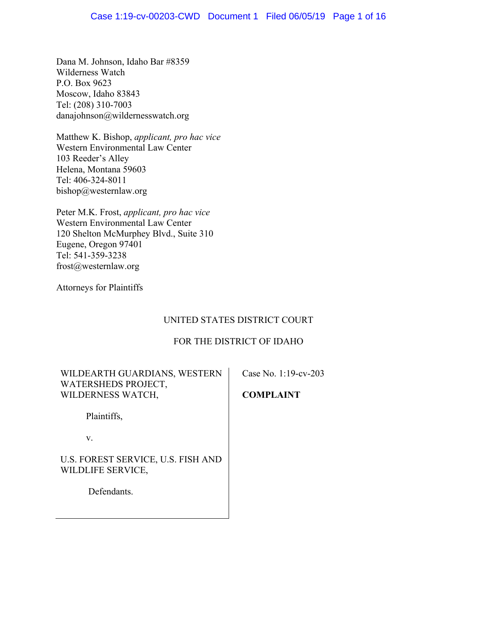## Case 1:19-cv-00203-CWD Document 1 Filed 06/05/19 Page 1 of 16

Dana M. Johnson, Idaho Bar #8359 Wilderness Watch P.O. Box 9623 Moscow, Idaho 83843 Tel: (208) 310-7003 danajohnson@wildernesswatch.org

Matthew K. Bishop, *applicant, pro hac vice* Western Environmental Law Center 103 Reeder's Alley Helena, Montana 59603 Tel: 406-324-8011 bishop@westernlaw.org

Peter M.K. Frost, *applicant, pro hac vice* Western Environmental Law Center 120 Shelton McMurphey Blvd., Suite 310 Eugene, Oregon 97401 Tel: 541-359-3238 frost@westernlaw.org

Attorneys for Plaintiffs

# UNITED STATES DISTRICT COURT

## FOR THE DISTRICT OF IDAHO

| WILDEARTH GUARDIANS, WESTERN<br>WATERSHEDS PROJECT,     | Case No. 1:19-cv-203 |
|---------------------------------------------------------|----------------------|
| WILDERNESS WATCH,                                       | <b>COMPLAINT</b>     |
| Plaintiffs,                                             |                      |
| V.                                                      |                      |
| U.S. FOREST SERVICE, U.S. FISH AND<br>WILDLIFE SERVICE, |                      |
| Defendants.                                             |                      |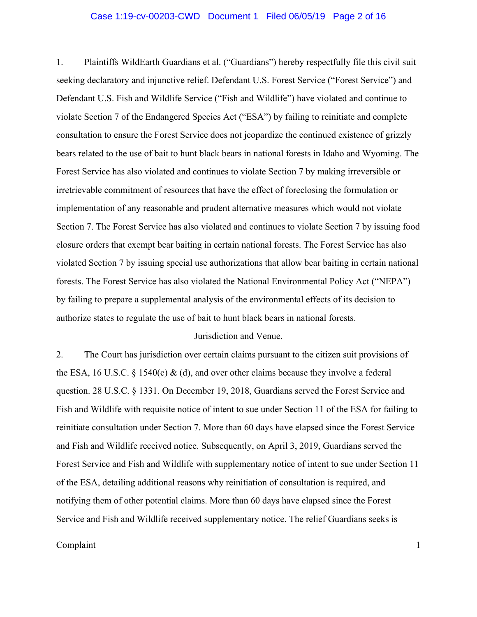### Case 1:19-cv-00203-CWD Document 1 Filed 06/05/19 Page 2 of 16

1. Plaintiffs WildEarth Guardians et al. ("Guardians") hereby respectfully file this civil suit seeking declaratory and injunctive relief. Defendant U.S. Forest Service ("Forest Service") and Defendant U.S. Fish and Wildlife Service ("Fish and Wildlife") have violated and continue to violate Section 7 of the Endangered Species Act ("ESA") by failing to reinitiate and complete consultation to ensure the Forest Service does not jeopardize the continued existence of grizzly bears related to the use of bait to hunt black bears in national forests in Idaho and Wyoming. The Forest Service has also violated and continues to violate Section 7 by making irreversible or irretrievable commitment of resources that have the effect of foreclosing the formulation or implementation of any reasonable and prudent alternative measures which would not violate Section 7. The Forest Service has also violated and continues to violate Section 7 by issuing food closure orders that exempt bear baiting in certain national forests. The Forest Service has also violated Section 7 by issuing special use authorizations that allow bear baiting in certain national forests. The Forest Service has also violated the National Environmental Policy Act ("NEPA") by failing to prepare a supplemental analysis of the environmental effects of its decision to authorize states to regulate the use of bait to hunt black bears in national forests.

## Jurisdiction and Venue.

2. The Court has jurisdiction over certain claims pursuant to the citizen suit provisions of the ESA, 16 U.S.C. § 1540(c)  $\&$  (d), and over other claims because they involve a federal question. 28 U.S.C. § 1331. On December 19, 2018, Guardians served the Forest Service and Fish and Wildlife with requisite notice of intent to sue under Section 11 of the ESA for failing to reinitiate consultation under Section 7. More than 60 days have elapsed since the Forest Service and Fish and Wildlife received notice. Subsequently, on April 3, 2019, Guardians served the Forest Service and Fish and Wildlife with supplementary notice of intent to sue under Section 11 of the ESA, detailing additional reasons why reinitiation of consultation is required, and notifying them of other potential claims. More than 60 days have elapsed since the Forest Service and Fish and Wildlife received supplementary notice. The relief Guardians seeks is

### Complaint the complaint of the complaint of the complaint of the complaint of the complaint of the complaint of the complaint of the complaint of the complaint of the complaint of the complaint of the complaint of the comp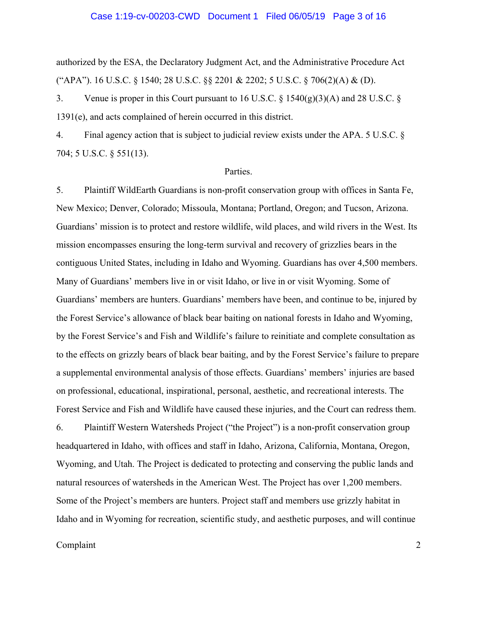### Case 1:19-cv-00203-CWD Document 1 Filed 06/05/19 Page 3 of 16

authorized by the ESA, the Declaratory Judgment Act, and the Administrative Procedure Act ("APA"). 16 U.S.C. § 1540; 28 U.S.C. §§ 2201 & 2202; 5 U.S.C. § 706(2)(A) & (D).

3. Venue is proper in this Court pursuant to 16 U.S.C. § 1540(g)(3)(A) and 28 U.S.C. § 1391(e), and acts complained of herein occurred in this district.

4. Final agency action that is subject to judicial review exists under the APA. 5 U.S.C. § 704; 5 U.S.C. § 551(13).

### Parties.

5. Plaintiff WildEarth Guardians is non-profit conservation group with offices in Santa Fe, New Mexico; Denver, Colorado; Missoula, Montana; Portland, Oregon; and Tucson, Arizona. Guardians' mission is to protect and restore wildlife, wild places, and wild rivers in the West. Its mission encompasses ensuring the long-term survival and recovery of grizzlies bears in the contiguous United States, including in Idaho and Wyoming. Guardians has over 4,500 members. Many of Guardians' members live in or visit Idaho, or live in or visit Wyoming. Some of Guardians' members are hunters. Guardians' members have been, and continue to be, injured by the Forest Service's allowance of black bear baiting on national forests in Idaho and Wyoming, by the Forest Service's and Fish and Wildlife's failure to reinitiate and complete consultation as to the effects on grizzly bears of black bear baiting, and by the Forest Service's failure to prepare a supplemental environmental analysis of those effects. Guardians' members' injuries are based on professional, educational, inspirational, personal, aesthetic, and recreational interests. The Forest Service and Fish and Wildlife have caused these injuries, and the Court can redress them.

6. Plaintiff Western Watersheds Project ("the Project") is a non-profit conservation group headquartered in Idaho, with offices and staff in Idaho, Arizona, California, Montana, Oregon, Wyoming, and Utah. The Project is dedicated to protecting and conserving the public lands and natural resources of watersheds in the American West. The Project has over 1,200 members. Some of the Project's members are hunters. Project staff and members use grizzly habitat in Idaho and in Wyoming for recreation, scientific study, and aesthetic purposes, and will continue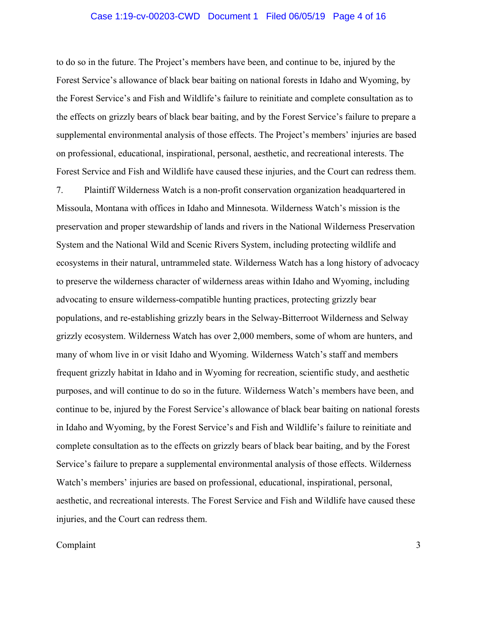### Case 1:19-cv-00203-CWD Document 1 Filed 06/05/19 Page 4 of 16

to do so in the future. The Project's members have been, and continue to be, injured by the Forest Service's allowance of black bear baiting on national forests in Idaho and Wyoming, by the Forest Service's and Fish and Wildlife's failure to reinitiate and complete consultation as to the effects on grizzly bears of black bear baiting, and by the Forest Service's failure to prepare a supplemental environmental analysis of those effects. The Project's members' injuries are based on professional, educational, inspirational, personal, aesthetic, and recreational interests. The Forest Service and Fish and Wildlife have caused these injuries, and the Court can redress them.

7. Plaintiff Wilderness Watch is a non-profit conservation organization headquartered in Missoula, Montana with offices in Idaho and Minnesota. Wilderness Watch's mission is the preservation and proper stewardship of lands and rivers in the National Wilderness Preservation System and the National Wild and Scenic Rivers System, including protecting wildlife and ecosystems in their natural, untrammeled state. Wilderness Watch has a long history of advocacy to preserve the wilderness character of wilderness areas within Idaho and Wyoming, including advocating to ensure wilderness-compatible hunting practices, protecting grizzly bear populations, and re-establishing grizzly bears in the Selway-Bitterroot Wilderness and Selway grizzly ecosystem. Wilderness Watch has over 2,000 members, some of whom are hunters, and many of whom live in or visit Idaho and Wyoming. Wilderness Watch's staff and members frequent grizzly habitat in Idaho and in Wyoming for recreation, scientific study, and aesthetic purposes, and will continue to do so in the future. Wilderness Watch's members have been, and continue to be, injured by the Forest Service's allowance of black bear baiting on national forests in Idaho and Wyoming, by the Forest Service's and Fish and Wildlife's failure to reinitiate and complete consultation as to the effects on grizzly bears of black bear baiting, and by the Forest Service's failure to prepare a supplemental environmental analysis of those effects. Wilderness Watch's members' injuries are based on professional, educational, inspirational, personal, aesthetic, and recreational interests. The Forest Service and Fish and Wildlife have caused these injuries, and the Court can redress them.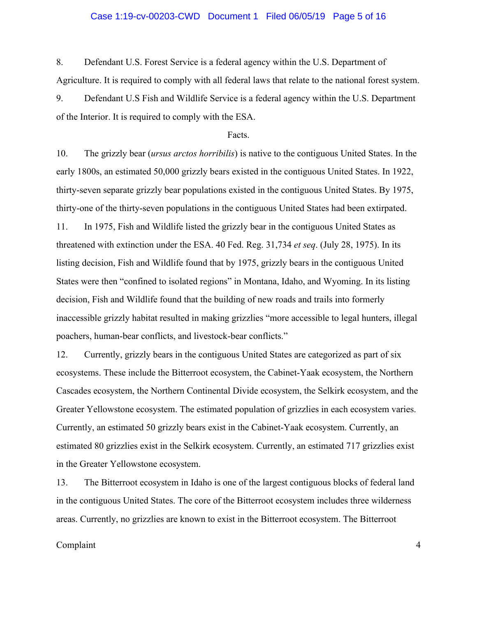### Case 1:19-cv-00203-CWD Document 1 Filed 06/05/19 Page 5 of 16

8. Defendant U.S. Forest Service is a federal agency within the U.S. Department of Agriculture. It is required to comply with all federal laws that relate to the national forest system.

9. Defendant U.S Fish and Wildlife Service is a federal agency within the U.S. Department of the Interior. It is required to comply with the ESA.

#### Facts.

10. The grizzly bear (*ursus arctos horribilis*) is native to the contiguous United States. In the early 1800s, an estimated 50,000 grizzly bears existed in the contiguous United States. In 1922, thirty-seven separate grizzly bear populations existed in the contiguous United States. By 1975, thirty-one of the thirty-seven populations in the contiguous United States had been extirpated. 11. In 1975, Fish and Wildlife listed the grizzly bear in the contiguous United States as threatened with extinction under the ESA. 40 Fed. Reg. 31,734 *et seq*. (July 28, 1975). In its listing decision, Fish and Wildlife found that by 1975, grizzly bears in the contiguous United States were then "confined to isolated regions" in Montana, Idaho, and Wyoming. In its listing decision, Fish and Wildlife found that the building of new roads and trails into formerly inaccessible grizzly habitat resulted in making grizzlies "more accessible to legal hunters, illegal poachers, human-bear conflicts, and livestock-bear conflicts."

12. Currently, grizzly bears in the contiguous United States are categorized as part of six ecosystems. These include the Bitterroot ecosystem, the Cabinet-Yaak ecosystem, the Northern Cascades ecosystem, the Northern Continental Divide ecosystem, the Selkirk ecosystem, and the Greater Yellowstone ecosystem. The estimated population of grizzlies in each ecosystem varies. Currently, an estimated 50 grizzly bears exist in the Cabinet-Yaak ecosystem. Currently, an estimated 80 grizzlies exist in the Selkirk ecosystem. Currently, an estimated 717 grizzlies exist in the Greater Yellowstone ecosystem.

13. The Bitterroot ecosystem in Idaho is one of the largest contiguous blocks of federal land in the contiguous United States. The core of the Bitterroot ecosystem includes three wilderness areas. Currently, no grizzlies are known to exist in the Bitterroot ecosystem. The Bitterroot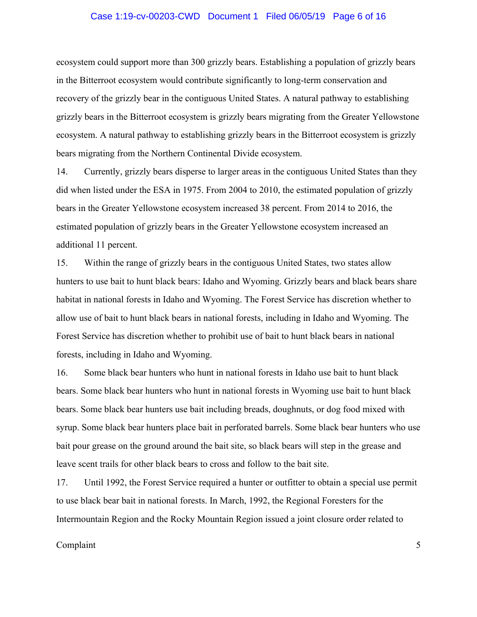### Case 1:19-cv-00203-CWD Document 1 Filed 06/05/19 Page 6 of 16

ecosystem could support more than 300 grizzly bears. Establishing a population of grizzly bears in the Bitterroot ecosystem would contribute significantly to long-term conservation and recovery of the grizzly bear in the contiguous United States. A natural pathway to establishing grizzly bears in the Bitterroot ecosystem is grizzly bears migrating from the Greater Yellowstone ecosystem. A natural pathway to establishing grizzly bears in the Bitterroot ecosystem is grizzly bears migrating from the Northern Continental Divide ecosystem.

14. Currently, grizzly bears disperse to larger areas in the contiguous United States than they did when listed under the ESA in 1975. From 2004 to 2010, the estimated population of grizzly bears in the Greater Yellowstone ecosystem increased 38 percent. From 2014 to 2016, the estimated population of grizzly bears in the Greater Yellowstone ecosystem increased an additional 11 percent.

15. Within the range of grizzly bears in the contiguous United States, two states allow hunters to use bait to hunt black bears: Idaho and Wyoming. Grizzly bears and black bears share habitat in national forests in Idaho and Wyoming. The Forest Service has discretion whether to allow use of bait to hunt black bears in national forests, including in Idaho and Wyoming. The Forest Service has discretion whether to prohibit use of bait to hunt black bears in national forests, including in Idaho and Wyoming.

16. Some black bear hunters who hunt in national forests in Idaho use bait to hunt black bears. Some black bear hunters who hunt in national forests in Wyoming use bait to hunt black bears. Some black bear hunters use bait including breads, doughnuts, or dog food mixed with syrup. Some black bear hunters place bait in perforated barrels. Some black bear hunters who use bait pour grease on the ground around the bait site, so black bears will step in the grease and leave scent trails for other black bears to cross and follow to the bait site.

17. Until 1992, the Forest Service required a hunter or outfitter to obtain a special use permit to use black bear bait in national forests. In March, 1992, the Regional Foresters for the Intermountain Region and the Rocky Mountain Region issued a joint closure order related to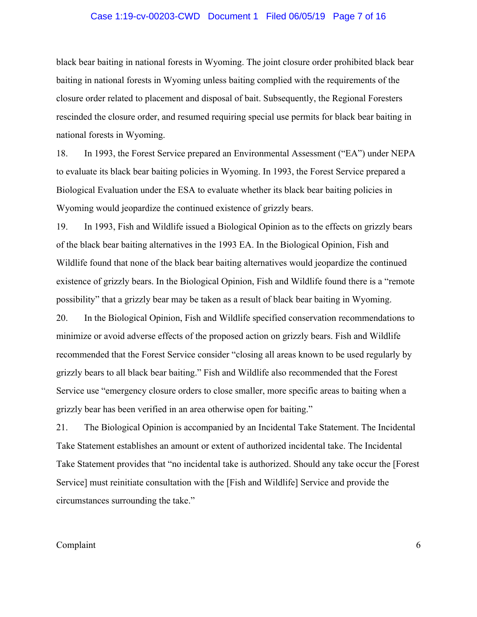### Case 1:19-cv-00203-CWD Document 1 Filed 06/05/19 Page 7 of 16

black bear baiting in national forests in Wyoming. The joint closure order prohibited black bear baiting in national forests in Wyoming unless baiting complied with the requirements of the closure order related to placement and disposal of bait. Subsequently, the Regional Foresters rescinded the closure order, and resumed requiring special use permits for black bear baiting in national forests in Wyoming.

18. In 1993, the Forest Service prepared an Environmental Assessment ("EA") under NEPA to evaluate its black bear baiting policies in Wyoming. In 1993, the Forest Service prepared a Biological Evaluation under the ESA to evaluate whether its black bear baiting policies in Wyoming would jeopardize the continued existence of grizzly bears.

19. In 1993, Fish and Wildlife issued a Biological Opinion as to the effects on grizzly bears of the black bear baiting alternatives in the 1993 EA. In the Biological Opinion, Fish and Wildlife found that none of the black bear baiting alternatives would jeopardize the continued existence of grizzly bears. In the Biological Opinion, Fish and Wildlife found there is a "remote possibility" that a grizzly bear may be taken as a result of black bear baiting in Wyoming. 20. In the Biological Opinion, Fish and Wildlife specified conservation recommendations to minimize or avoid adverse effects of the proposed action on grizzly bears. Fish and Wildlife recommended that the Forest Service consider "closing all areas known to be used regularly by grizzly bears to all black bear baiting." Fish and Wildlife also recommended that the Forest

Service use "emergency closure orders to close smaller, more specific areas to baiting when a grizzly bear has been verified in an area otherwise open for baiting."

21. The Biological Opinion is accompanied by an Incidental Take Statement. The Incidental Take Statement establishes an amount or extent of authorized incidental take. The Incidental Take Statement provides that "no incidental take is authorized. Should any take occur the [Forest Service] must reinitiate consultation with the [Fish and Wildlife] Service and provide the circumstances surrounding the take."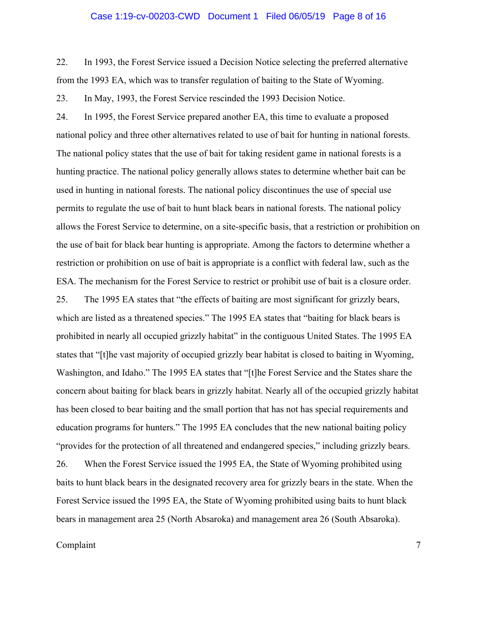### Case 1:19-cv-00203-CWD Document 1 Filed 06/05/19 Page 8 of 16

22. In 1993, the Forest Service issued a Decision Notice selecting the preferred alternative from the 1993 EA, which was to transfer regulation of baiting to the State of Wyoming.

23. In May, 1993, the Forest Service rescinded the 1993 Decision Notice.

24. In 1995, the Forest Service prepared another EA, this time to evaluate a proposed national policy and three other alternatives related to use of bait for hunting in national forests. The national policy states that the use of bait for taking resident game in national forests is a hunting practice. The national policy generally allows states to determine whether bait can be used in hunting in national forests. The national policy discontinues the use of special use permits to regulate the use of bait to hunt black bears in national forests. The national policy allows the Forest Service to determine, on a site-specific basis, that a restriction or prohibition on the use of bait for black bear hunting is appropriate. Among the factors to determine whether a restriction or prohibition on use of bait is appropriate is a conflict with federal law, such as the ESA. The mechanism for the Forest Service to restrict or prohibit use of bait is a closure order. 25. The 1995 EA states that "the effects of baiting are most significant for grizzly bears, which are listed as a threatened species." The 1995 EA states that "baiting for black bears is prohibited in nearly all occupied grizzly habitat" in the contiguous United States. The 1995 EA states that "[t]he vast majority of occupied grizzly bear habitat is closed to baiting in Wyoming, Washington, and Idaho." The 1995 EA states that "[t]he Forest Service and the States share the concern about baiting for black bears in grizzly habitat. Nearly all of the occupied grizzly habitat has been closed to bear baiting and the small portion that has not has special requirements and education programs for hunters." The 1995 EA concludes that the new national baiting policy "provides for the protection of all threatened and endangered species," including grizzly bears. 26. When the Forest Service issued the 1995 EA, the State of Wyoming prohibited using baits to hunt black bears in the designated recovery area for grizzly bears in the state. When the Forest Service issued the 1995 EA, the State of Wyoming prohibited using baits to hunt black bears in management area 25 (North Absaroka) and management area 26 (South Absaroka).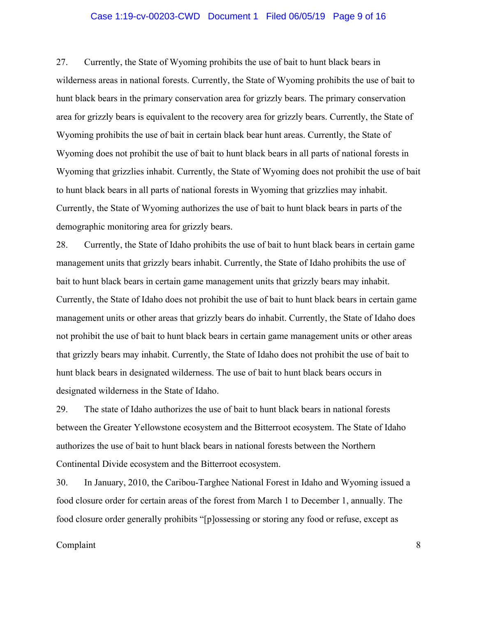### Case 1:19-cv-00203-CWD Document 1 Filed 06/05/19 Page 9 of 16

27. Currently, the State of Wyoming prohibits the use of bait to hunt black bears in wilderness areas in national forests. Currently, the State of Wyoming prohibits the use of bait to hunt black bears in the primary conservation area for grizzly bears. The primary conservation area for grizzly bears is equivalent to the recovery area for grizzly bears. Currently, the State of Wyoming prohibits the use of bait in certain black bear hunt areas. Currently, the State of Wyoming does not prohibit the use of bait to hunt black bears in all parts of national forests in Wyoming that grizzlies inhabit. Currently, the State of Wyoming does not prohibit the use of bait to hunt black bears in all parts of national forests in Wyoming that grizzlies may inhabit. Currently, the State of Wyoming authorizes the use of bait to hunt black bears in parts of the demographic monitoring area for grizzly bears.

28. Currently, the State of Idaho prohibits the use of bait to hunt black bears in certain game management units that grizzly bears inhabit. Currently, the State of Idaho prohibits the use of bait to hunt black bears in certain game management units that grizzly bears may inhabit. Currently, the State of Idaho does not prohibit the use of bait to hunt black bears in certain game management units or other areas that grizzly bears do inhabit. Currently, the State of Idaho does not prohibit the use of bait to hunt black bears in certain game management units or other areas that grizzly bears may inhabit. Currently, the State of Idaho does not prohibit the use of bait to hunt black bears in designated wilderness. The use of bait to hunt black bears occurs in designated wilderness in the State of Idaho.

29. The state of Idaho authorizes the use of bait to hunt black bears in national forests between the Greater Yellowstone ecosystem and the Bitterroot ecosystem. The State of Idaho authorizes the use of bait to hunt black bears in national forests between the Northern Continental Divide ecosystem and the Bitterroot ecosystem.

30. In January, 2010, the Caribou-Targhee National Forest in Idaho and Wyoming issued a food closure order for certain areas of the forest from March 1 to December 1, annually. The food closure order generally prohibits "[p]ossessing or storing any food or refuse, except as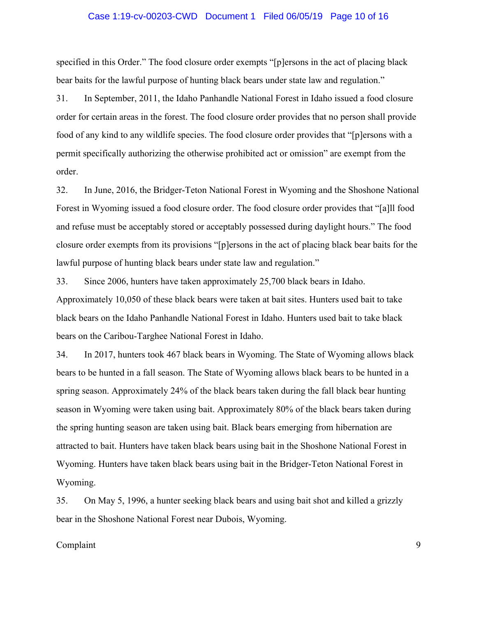### Case 1:19-cv-00203-CWD Document 1 Filed 06/05/19 Page 10 of 16

specified in this Order." The food closure order exempts "[p]ersons in the act of placing black bear baits for the lawful purpose of hunting black bears under state law and regulation."

31. In September, 2011, the Idaho Panhandle National Forest in Idaho issued a food closure order for certain areas in the forest. The food closure order provides that no person shall provide food of any kind to any wildlife species. The food closure order provides that "[p]ersons with a permit specifically authorizing the otherwise prohibited act or omission" are exempt from the order.

32. In June, 2016, the Bridger-Teton National Forest in Wyoming and the Shoshone National Forest in Wyoming issued a food closure order. The food closure order provides that "[a]ll food and refuse must be acceptably stored or acceptably possessed during daylight hours." The food closure order exempts from its provisions "[p]ersons in the act of placing black bear baits for the lawful purpose of hunting black bears under state law and regulation."

33. Since 2006, hunters have taken approximately 25,700 black bears in Idaho. Approximately 10,050 of these black bears were taken at bait sites. Hunters used bait to take black bears on the Idaho Panhandle National Forest in Idaho. Hunters used bait to take black bears on the Caribou-Targhee National Forest in Idaho.

34. In 2017, hunters took 467 black bears in Wyoming. The State of Wyoming allows black bears to be hunted in a fall season. The State of Wyoming allows black bears to be hunted in a spring season. Approximately 24% of the black bears taken during the fall black bear hunting season in Wyoming were taken using bait. Approximately 80% of the black bears taken during the spring hunting season are taken using bait. Black bears emerging from hibernation are attracted to bait. Hunters have taken black bears using bait in the Shoshone National Forest in Wyoming. Hunters have taken black bears using bait in the Bridger-Teton National Forest in Wyoming.

35. On May 5, 1996, a hunter seeking black bears and using bait shot and killed a grizzly bear in the Shoshone National Forest near Dubois, Wyoming.

### Complaint the complaint of the complaint of the complaint of the complaint of the complaint of the complaint of the complaint of the complaint of the complaint of the complaint of the complaint of the complaint of the comp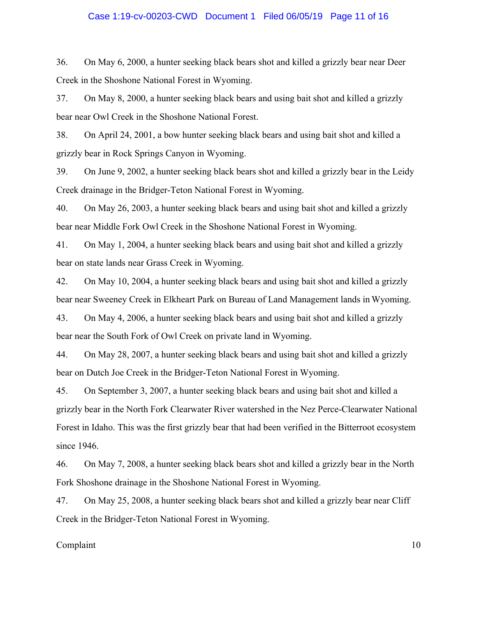### Case 1:19-cv-00203-CWD Document 1 Filed 06/05/19 Page 11 of 16

36. On May 6, 2000, a hunter seeking black bears shot and killed a grizzly bear near Deer Creek in the Shoshone National Forest in Wyoming.

37. On May 8, 2000, a hunter seeking black bears and using bait shot and killed a grizzly bear near Owl Creek in the Shoshone National Forest.

38. On April 24, 2001, a bow hunter seeking black bears and using bait shot and killed a grizzly bear in Rock Springs Canyon in Wyoming.

39. On June 9, 2002, a hunter seeking black bears shot and killed a grizzly bear in the Leidy Creek drainage in the Bridger-Teton National Forest in Wyoming.

40. On May 26, 2003, a hunter seeking black bears and using bait shot and killed a grizzly bear near Middle Fork Owl Creek in the Shoshone National Forest in Wyoming.

41. On May 1, 2004, a hunter seeking black bears and using bait shot and killed a grizzly bear on state lands near Grass Creek in Wyoming.

42. On May 10, 2004, a hunter seeking black bears and using bait shot and killed a grizzly bear near Sweeney Creek in Elkheart Park on Bureau of Land Management lands in Wyoming.

43. On May 4, 2006, a hunter seeking black bears and using bait shot and killed a grizzly bear near the South Fork of Owl Creek on private land in Wyoming.

44. On May 28, 2007, a hunter seeking black bears and using bait shot and killed a grizzly bear on Dutch Joe Creek in the Bridger-Teton National Forest in Wyoming.

45. On September 3, 2007, a hunter seeking black bears and using bait shot and killed a grizzly bear in the North Fork Clearwater River watershed in the Nez Perce-Clearwater National Forest in Idaho. This was the first grizzly bear that had been verified in the Bitterroot ecosystem since 1946.

46. On May 7, 2008, a hunter seeking black bears shot and killed a grizzly bear in the North Fork Shoshone drainage in the Shoshone National Forest in Wyoming.

47. On May 25, 2008, a hunter seeking black bears shot and killed a grizzly bear near Cliff Creek in the Bridger-Teton National Forest in Wyoming.

### Complaint the complaint of the complaint of the complaint of the complaint of the complaint of the complaint of the complaint of the complaint of the complaint of the complaint of the complaint of the complaint of the comp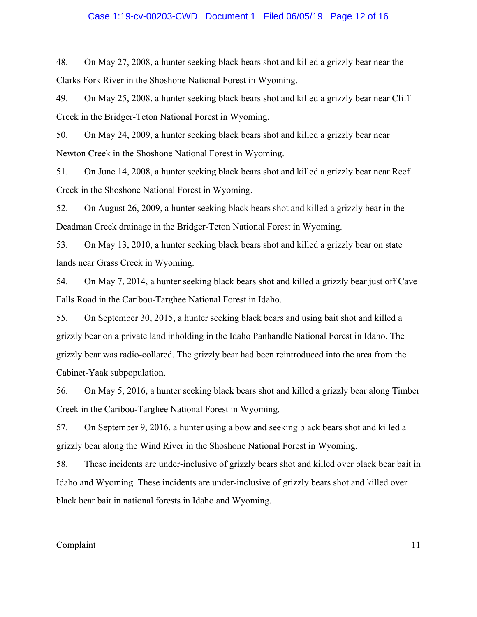### Case 1:19-cv-00203-CWD Document 1 Filed 06/05/19 Page 12 of 16

48. On May 27, 2008, a hunter seeking black bears shot and killed a grizzly bear near the Clarks Fork River in the Shoshone National Forest in Wyoming.

49. On May 25, 2008, a hunter seeking black bears shot and killed a grizzly bear near Cliff Creek in the Bridger-Teton National Forest in Wyoming.

50. On May 24, 2009, a hunter seeking black bears shot and killed a grizzly bear near Newton Creek in the Shoshone National Forest in Wyoming.

51. On June 14, 2008, a hunter seeking black bears shot and killed a grizzly bear near Reef Creek in the Shoshone National Forest in Wyoming.

52. On August 26, 2009, a hunter seeking black bears shot and killed a grizzly bear in the Deadman Creek drainage in the Bridger-Teton National Forest in Wyoming.

53. On May 13, 2010, a hunter seeking black bears shot and killed a grizzly bear on state lands near Grass Creek in Wyoming.

54. On May 7, 2014, a hunter seeking black bears shot and killed a grizzly bear just off Cave Falls Road in the Caribou-Targhee National Forest in Idaho.

55. On September 30, 2015, a hunter seeking black bears and using bait shot and killed a grizzly bear on a private land inholding in the Idaho Panhandle National Forest in Idaho. The grizzly bear was radio-collared. The grizzly bear had been reintroduced into the area from the Cabinet-Yaak subpopulation.

56. On May 5, 2016, a hunter seeking black bears shot and killed a grizzly bear along Timber Creek in the Caribou-Targhee National Forest in Wyoming.

57. On September 9, 2016, a hunter using a bow and seeking black bears shot and killed a grizzly bear along the Wind River in the Shoshone National Forest in Wyoming.

58. These incidents are under-inclusive of grizzly bears shot and killed over black bear bait in Idaho and Wyoming. These incidents are under-inclusive of grizzly bears shot and killed over black bear bait in national forests in Idaho and Wyoming.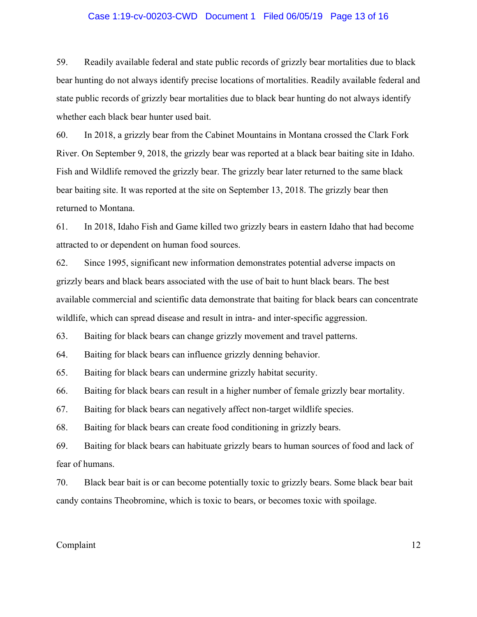### Case 1:19-cv-00203-CWD Document 1 Filed 06/05/19 Page 13 of 16

59. Readily available federal and state public records of grizzly bear mortalities due to black bear hunting do not always identify precise locations of mortalities. Readily available federal and state public records of grizzly bear mortalities due to black bear hunting do not always identify whether each black bear hunter used bait.

60. In 2018, a grizzly bear from the Cabinet Mountains in Montana crossed the Clark Fork River. On September 9, 2018, the grizzly bear was reported at a black bear baiting site in Idaho. Fish and Wildlife removed the grizzly bear. The grizzly bear later returned to the same black bear baiting site. It was reported at the site on September 13, 2018. The grizzly bear then returned to Montana.

61. In 2018, Idaho Fish and Game killed two grizzly bears in eastern Idaho that had become attracted to or dependent on human food sources.

62. Since 1995, significant new information demonstrates potential adverse impacts on grizzly bears and black bears associated with the use of bait to hunt black bears. The best available commercial and scientific data demonstrate that baiting for black bears can concentrate wildlife, which can spread disease and result in intra- and inter-specific aggression.

63. Baiting for black bears can change grizzly movement and travel patterns.

64. Baiting for black bears can influence grizzly denning behavior.

65. Baiting for black bears can undermine grizzly habitat security.

66. Baiting for black bears can result in a higher number of female grizzly bear mortality.

67. Baiting for black bears can negatively affect non-target wildlife species.

68. Baiting for black bears can create food conditioning in grizzly bears.

69. Baiting for black bears can habituate grizzly bears to human sources of food and lack of fear of humans.

70. Black bear bait is or can become potentially toxic to grizzly bears. Some black bear bait candy contains Theobromine, which is toxic to bears, or becomes toxic with spoilage.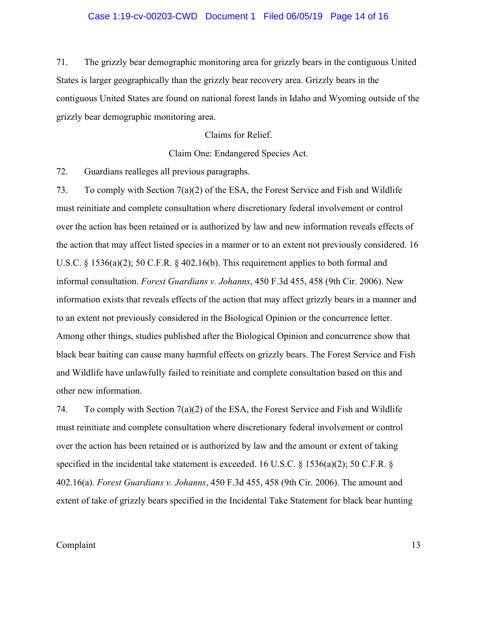### Case 1:19-cv-00203-CWD Document 1 Filed 06/05/19 Page 14 of 16

71. The grizzly bear demographic monitoring area for grizzly bears in the contiguous United States is larger geographically than the grizzly bear recovery area. Grizzly bears in the contiguous United States are found on national forest lands in Idaho and Wyoming outside of the grizzly bear demographic monitoring area.

Claims for Relief.

Claim One: Endangered Species Act.

72. Guardians realleges all previous paragraphs.

73. To comply with Section 7(a)(2) of the ESA, the Forest Service and Fish and Wildlife must reinitiate and complete consultation where discretionary federal involvement or control over the action has been retained or is authorized by law and new information reveals effects of the action that may affect listed species in a manner or to an extent not previously considered. 16 U.S.C. § 1536(a)(2); 50 C.F.R. § 402.16(b). This requirement applies to both formal and informal consultation. *Forest Guardians v. Johanns*, 450 F.3d 455, 458 (9th Cir. 2006). New information exists that reveals effects of the action that may affect grizzly bears in a manner and to an extent not previously considered in the Biological Opinion or the concurrence letter. Among other things, studies published after the Biological Opinion and concurrence show that black bear baiting can cause many harmful effects on grizzly bears. The Forest Service and Fish and Wildlife have unlawfully failed to reinitiate and complete consultation based on this and other new information.

74. To comply with Section  $7(a)(2)$  of the ESA, the Forest Service and Fish and Wildlife must reinitiate and complete consultation where discretionary federal involvement or control over the action has been retained or is authorized by law and the amount or extent of taking specified in the incidental take statement is exceeded. 16 U.S.C. § 1536(a)(2); 50 C.F.R. § 402.16(a). *Forest Guardians v. Johanns*, 450 F.3d 455, 458 (9th Cir. 2006). The amount and extent of take of grizzly bears specified in the Incidental Take Statement for black bear hunting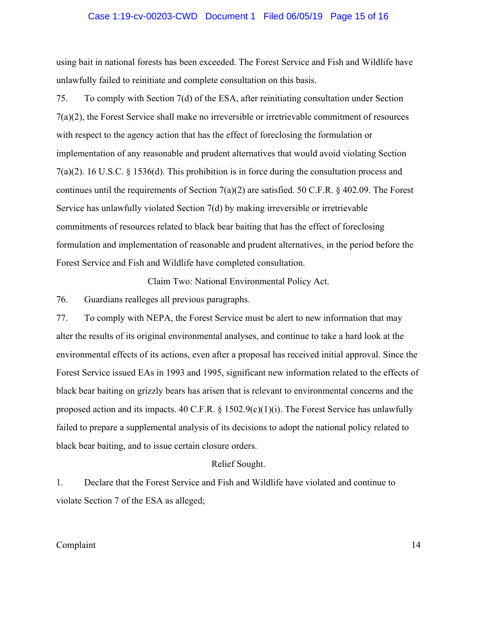#### Case 1:19-cv-00203-CWD Document 1 Filed 06/05/19 Page 15 of 16

using bait in national forests has been exceeded. The Forest Service and Fish and Wildlife have unlawfully failed to reinitiate and complete consultation on this basis.

75. To comply with Section 7(d) of the ESA, after reinitiating consultation under Section 7(a)(2), the Forest Service shall make no irreversible or irretrievable commitment of resources with respect to the agency action that has the effect of foreclosing the formulation or implementation of any reasonable and prudent alternatives that would avoid violating Section 7(a)(2). 16 U.S.C. § 1536(d). This prohibition is in force during the consultation process and continues until the requirements of Section 7(a)(2) are satisfied. 50 C.F.R. § 402.09. The Forest Service has unlawfully violated Section 7(d) by making irreversible or irretrievable commitments of resources related to black bear baiting that has the effect of foreclosing formulation and implementation of reasonable and prudent alternatives, in the period before the Forest Service and Fish and Wildlife have completed consultation.

Claim Two: National Environmental Policy Act.

76. Guardians realleges all previous paragraphs.

77. To comply with NEPA, the Forest Service must be alert to new information that may alter the results of its original environmental analyses, and continue to take a hard look at the environmental effects of its actions, even after a proposal has received initial approval. Since the Forest Service issued EAs in 1993 and 1995, significant new information related to the effects of black bear baiting on grizzly bears has arisen that is relevant to environmental concerns and the proposed action and its impacts. 40 C.F.R.  $\S$  1502.9(c)(1)(i). The Forest Service has unlawfully failed to prepare a supplemental analysis of its decisions to adopt the national policy related to black bear baiting, and to issue certain closure orders.

### Relief Sought.

1. Declare that the Forest Service and Fish and Wildlife have violated and continue to violate Section 7 of the ESA as alleged;